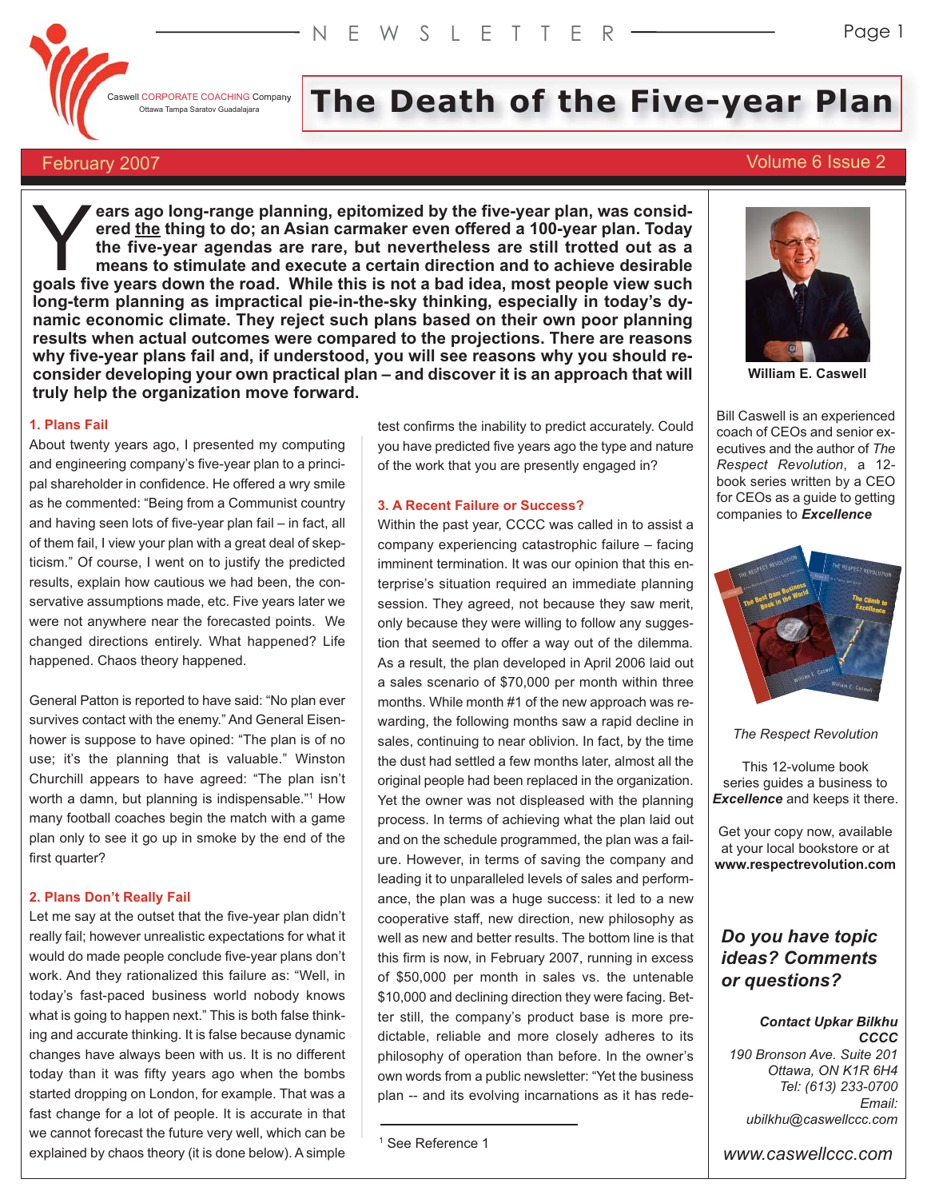Caswell CORPORATE COACHING Company

# Il CORPORATE COACHING Company The Death of the **Five-year Plan**

# February 2007 Volume 6 Issue 2

**ears ago long-range planning, epitomized by the five-year plan, was considered the thing to do; an Asian carmaker even offered a 100-year plan. Today the five-year agendas are rare, but nevertheless are still trotted out as a means to stimulate and execute a certain direction and to achieve desirable goals five years ago long-range planning, epitomized by the five-year plan, was considered the thing to do; an Asian carmaker even offered a 100-year plan. Today the five-year agendas are rare, but nevertheless are still long-term planning as impractical pie-in-the-sky thinking, especially in today's dynamic economic climate. They reject such plans based on their own poor planning results when actual outcomes were compared to the projections. There are reasons why five-year plans fail and, if understood, you will see reasons why you should reconsider developing your own practical plan – and discover it is an approach that will truly help the organization move forward.**

# **1. Plans Fail**

About twenty years ago, I presented my computing and engineering company's five-year plan to a principal shareholder in confidence. He offered a wry smile as he commented: "Being from a Communist country and having seen lots of five-year plan fail – in fact, all of them fail, I view your plan with a great deal of skepticism." Of course, I went on to justify the predicted results, explain how cautious we had been, the conservative assumptions made, etc. Five years later we were not anywhere near the forecasted points. We changed directions entirely. What happened? Life happened. Chaos theory happened.

General Patton is reported to have said: "No plan ever survives contact with the enemy." And General Eisenhower is suppose to have opined: "The plan is of no use; it's the planning that is valuable." Winston Churchill appears to have agreed: "The plan isn't worth a damn, but planning is indispensable."<sup>1</sup> How many football coaches begin the match with a game plan only to see it go up in smoke by the end of the first quarter?

#### **2. Plans Don't Really Fail**

Let me say at the outset that the five-year plan didn't really fail; however unrealistic expectations for what it would do made people conclude five-year plans don't work. And they rationalized this failure as: "Well, in today's fast-paced business world nobody knows what is going to happen next." This is both false thinking and accurate thinking. It is false because dynamic changes have always been with us. It is no different today than it was fifty years ago when the bombs started dropping on London, for example. That was a fast change for a lot of people. It is accurate in that we cannot forecast the future very well, which can be explained by chaos theory (it is done below). A simple

test confirms the inability to predict accurately. Could you have predicted five years ago the type and nature of the work that you are presently engaged in?

#### **3. A Recent Failure or Success?**

Within the past year, CCCC was called in to assist a company experiencing catastrophic failure – facing imminent termination. It was our opinion that this enterprise's situation required an immediate planning session. They agreed, not because they saw merit, only because they were willing to follow any suggestion that seemed to offer a way out of the dilemma. As a result, the plan developed in April 2006 laid out a sales scenario of \$70,000 per month within three months. While month #1 of the new approach was rewarding, the following months saw a rapid decline in sales, continuing to near oblivion. In fact, by the time the dust had settled a few months later, almost all the original people had been replaced in the organization. Yet the owner was not displeased with the planning process. In terms of achieving what the plan laid out and on the schedule programmed, the plan was a failure. However, in terms of saving the company and leading it to unparalleled levels of sales and performance, the plan was a huge success: it led to a new cooperative staff, new direction, new philosophy as well as new and better results. The bottom line is that this firm is now, in February 2007, running in excess of \$50,000 per month in sales vs. the untenable \$10,000 and declining direction they were facing. Better still, the company's product base is more predictable, reliable and more closely adheres to its philosophy of operation than before. In the owner's own words from a public newsletter: "Yet the business plan -- and its evolving incarnations as it has rede-

**William E. Caswell**

Bill Caswell is an experienced coach of CEOs and senior executives and the author of *The Respect Revolution*, a 12 book series written by a CEO for CEOs as a guide to getting companies to *Excellence*



*The Respect Revolution*

This 12-volume book series guides a business to *Excellence* and keeps it there.

Get your copy now, available at your local bookstore or at **www.respectrevolution.com**

# *Do you have topic ideas? Comments or questions?*

#### *Contact Upkar Bilkhu CCCC*

*190 Bronson Ave. Suite 201 Ottawa, ON K1R 6H4 Tel: (613) 233-0700 Email: ubilkhu@caswellccc.com*

*www.caswellccc.com*

<sup>&</sup>lt;sup>1</sup> See Reference 1